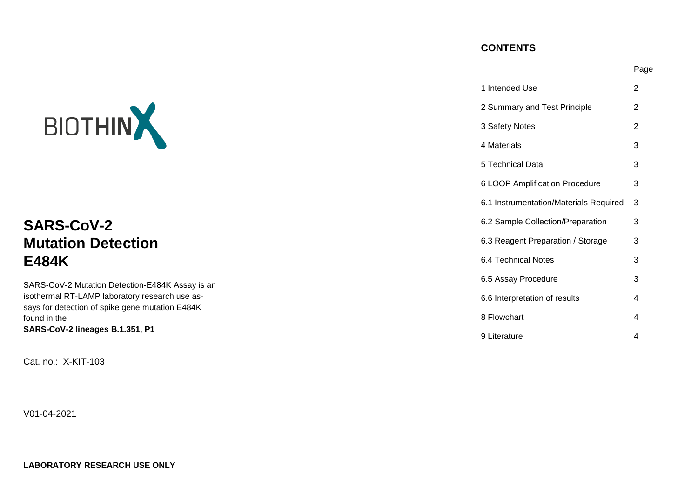## **CONTENTS**

Page

|                                                                 | 1 Intended Use                         | $\overline{2}$ |
|-----------------------------------------------------------------|----------------------------------------|----------------|
|                                                                 | 2 Summary and Test Principle           | 2              |
| BIOTHIN                                                         | 3 Safety Notes                         | $\overline{2}$ |
|                                                                 | 4 Materials                            | 3              |
|                                                                 | 5 Technical Data                       | 3              |
|                                                                 | 6 LOOP Amplification Procedure         | 3              |
|                                                                 | 6.1 Instrumentation/Materials Required | - 3            |
| <b>SARS-CoV-2</b>                                               | 6.2 Sample Collection/Preparation      | 3              |
| <b>Mutation Detection</b>                                       | 6.3 Reagent Preparation / Storage      | 3              |
| <b>E484K</b>                                                    | 6.4 Technical Notes                    | 3              |
| SARS-CoV-2 Mutation Detection-E484K Assay is an                 | 6.5 Assay Procedure                    | 3              |
| isothermal RT-LAMP laboratory research use as-                  | 6.6 Interpretation of results          | 4              |
| says for detection of spike gene mutation E484K<br>found in the | 8 Flowchart                            | 4              |
| SARS-CoV-2 lineages B.1.351, P1                                 | 9 Literature                           | 4              |

Cat. no.: X-KIT-103

V01-04-2021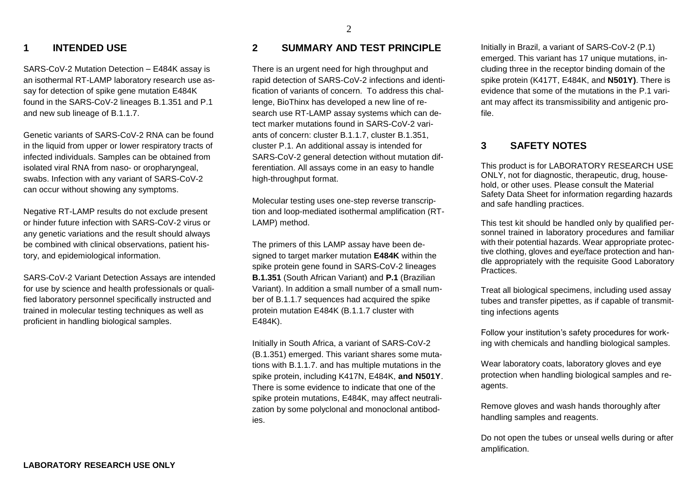#### 2

### **1 INTENDED USE**

SARS-CoV-2 Mutation Detection – E484K assay is an isothermal RT-LAMP laboratory research use assay for detection of spike gene mutation E484K found in the SARS-CoV-2 lineages B.1.351 and P.1 and new sub lineage of B.1.1.7.

Genetic variants of SARS-CoV-2 RNA can be found in the liquid from upper or lower respiratory tracts of infected individuals. Samples can be obtained from isolated viral RNA from naso- or oropharyngeal, swabs. Infection with any variant of SARS-CoV-2 can occur without showing any symptoms.

Negative RT-LAMP results do not exclude present or hinder future infection with SARS-CoV-2 virus or any genetic variations and the result should always be combined with clinical observations, patient history, and epidemiological information.

SARS-CoV-2 Variant Detection Assays are intended for use by science and health professionals or qualified laboratory personnel specifically instructed and trained in molecular testing techniques as well as proficient in handling biological samples.

### **2 SUMMARY AND TEST PRINCIPLE**

There is an urgent need for high throughput and rapid detection of SARS-CoV-2 infections and identification of variants of concern. To address this challenge, BioThinx has developed a new line of research use RT-LAMP assay systems which can detect marker mutations found in SARS-CoV-2 variants of concern: cluster B.1.1.7, cluster B.1.351, cluster P.1. An additional assay is intended for SARS-CoV-2 general detection without mutation differentiation. All assays come in an easy to handle high-throughput format.

Molecular testing uses one-step reverse transcription and loop-mediated isothermal amplification (RT-LAMP) method.

The primers of this LAMP assay have been designed to target marker mutation **E484K** within the spike protein gene found in SARS-CoV-2 lineages **B.1.351** (South African Variant) and **P.1** (Brazilian Variant). In addition a small number of a small number of B.1.1.7 sequences had acquired the spike protein mutation E484K (B.1.1.7 cluster with E484K).

Initially in South Africa, a variant of SARS-CoV-2 (B.1.351) emerged. This variant shares some mutations with B.1.1.7. and has multiple mutations in the spike protein, including K417N, E484K, **and N501Y**. There is some evidence to indicate that one of the spike protein mutations, E484K, may affect neutralization by some polyclonal and monoclonal antibodies.

Initially in Brazil, a variant of SARS-CoV-2 (P.1) emerged. This variant has 17 unique mutations, including three in the receptor binding domain of the spike protein (K417T, E484K, and **N501Y)**. There is evidence that some of the mutations in the P.1 variant may affect its transmissibility and antigenic profile.

## **3 SAFETY NOTES**

This product is for LABORATORY RESEARCH USE ONLY, not for diagnostic, therapeutic, drug, household, or other uses. Please consult the Material Safety Data Sheet for information regarding hazards and safe handling practices.

This test kit should be handled only by qualified personnel trained in laboratory procedures and familiar with their potential hazards. Wear appropriate protective clothing, gloves and eye/face protection and handle appropriately with the requisite Good Laboratory Practices.

Treat all biological specimens, including used assay tubes and transfer pipettes, as if capable of transmitting infections agents

Follow your institution's safety procedures for working with chemicals and handling biological samples.

Wear laboratory coats, laboratory gloves and eye protection when handling biological samples and reagents.

Remove gloves and wash hands thoroughly after handling samples and reagents.

Do not open the tubes or unseal wells during or after amplification.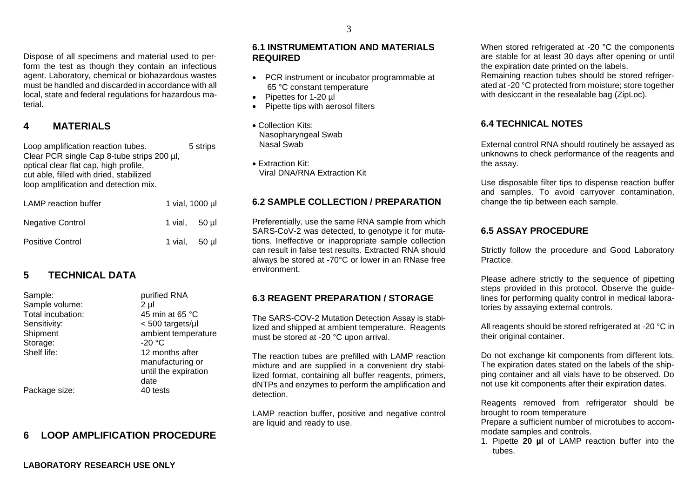Dispose of all specimens and material used to perform the test as though they contain an infectious agent. Laboratory, chemical or biohazardous wastes must be handled and discarded in accordance with all local, state and federal regulations for hazardous material.

## **4 MATERIALS**

Loop amplification reaction tubes. 5 strips Clear PCR single Cap 8-tube strips 200 ul. optical clear flat cap, high profile, cut able, filled with dried, stabilized loop amplification and detection mix.

| LAMP reaction buffer    | 1 vial, 1000 µl  |  |
|-------------------------|------------------|--|
| <b>Negative Control</b> | 1 vial, 50 ul    |  |
| <b>Positive Control</b> | 1 vial, $50 \mu$ |  |

# **5 TECHNICAL DATA**

| Sample:           | purified RNA         |
|-------------------|----------------------|
| Sample volume:    | 2 µl                 |
| Total incubation: | 45 min at 65 °C      |
| Sensitivity:      | $< 500$ targets/µl   |
| Shipment          | ambient temperature  |
| Storage:          | $-20 °C$             |
| Shelf life:       | 12 months after      |
|                   | manufacturing or     |
|                   | until the expiration |
|                   | date                 |
| Package size:     | 40 tests             |
|                   |                      |

## **6 LOOP AMPLIFICATION PROCEDURE**

#### **6.1 INSTRUMEMTATION AND MATERIALS REQUIRED**

- PCR instrument or incubator programmable at 65 °C constant temperature
- Pipettes for 1-20 ul
- Pipette tips with aerosol filters
- Collection Kits: Nasopharyngeal Swab Nasal Swab
- Extraction Kit: Viral DNA/RNA Extraction Kit

### **6.2 SAMPLE COLLECTION / PREPARATION**

Preferentially, use the same RNA sample from which SARS-CoV-2 was detected, to genotype it for mutations. Ineffective or inappropriate sample collection can result in false test results. Extracted RNA should always be stored at -70°C or lower in an RNase free environment.

## **6.3 REAGENT PREPARATION / STORAGE**

The SARS-COV-2 Mutation Detection Assay is stabilized and shipped at ambient temperature. Reagents must be stored at -20 °C upon arrival.

The reaction tubes are prefilled with LAMP reaction mixture and are supplied in a convenient dry stabilized format, containing all buffer reagents, primers, dNTPs and enzymes to perform the amplification and detection.

LAMP reaction buffer, positive and negative control are liquid and ready to use.

When stored refrigerated at -20 °C the components are stable for at least 30 days after opening or until the expiration date printed on the labels. Remaining reaction tubes should be stored refrigerated at -20 °C protected from moisture; store together with desiccant in the resealable bag (ZipLoc).

## **6.4 TECHNICAL NOTES**

External control RNA should routinely be assayed as unknowns to check performance of the reagents and the assay.

Use disposable filter tips to dispense reaction buffer and samples. To avoid carryover contamination, change the tip between each sample.

## **6.5 ASSAY PROCEDURE**

Strictly follow the procedure and Good Laboratory Practice.

Please adhere strictly to the sequence of pipetting steps provided in this protocol. Observe the guidelines for performing quality control in medical laboratories by assaying external controls.

All reagents should be stored refrigerated at -20 °C in their original container.

Do not exchange kit components from different lots. The expiration dates stated on the labels of the shipping container and all vials have to be observed. Do not use kit components after their expiration dates.

Reagents removed from refrigerator should be brought to room temperature

Prepare a sufficient number of microtubes to accommodate samples and controls.

1. Pipette **20 µl** of LAMP reaction buffer into the tubes.